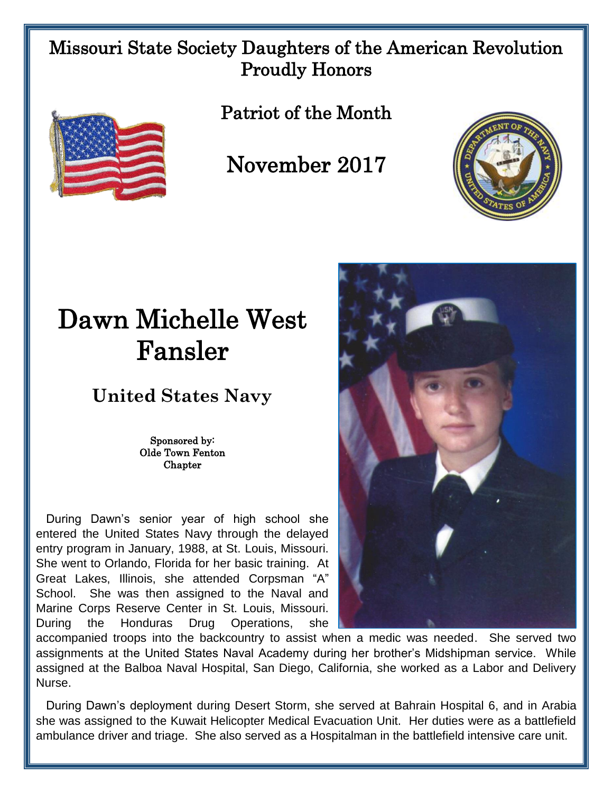## Missouri State Society Daughters of the American Revolution Proudly Honors



Patriot of the Month

November 2017



## Dawn Michelle West Fansler

## **United States Navy**

Sponsored by: Olde Town Fenton **Chapter** 

 During Dawn's senior year of high school she entered the United States Navy through the delayed entry program in January, 1988, at St. Louis, Missouri. She went to Orlando, Florida for her basic training. At Great Lakes, Illinois, she attended Corpsman "A" School. She was then assigned to the Naval and Marine Corps Reserve Center in St. Louis, Missouri. During the Honduras Drug Operations, she



accompanied troops into the backcountry to assist when a medic was needed. She served two assignments at the United States Naval Academy during her brother's Midshipman service. While assigned at the Balboa Naval Hospital, San Diego, California, she worked as a Labor and Delivery Nurse.

 During Dawn's deployment during Desert Storm, she served at Bahrain Hospital 6, and in Arabia she was assigned to the Kuwait Helicopter Medical Evacuation Unit. Her duties were as a battlefield ambulance driver and triage. She also served as a Hospitalman in the battlefield intensive care unit.